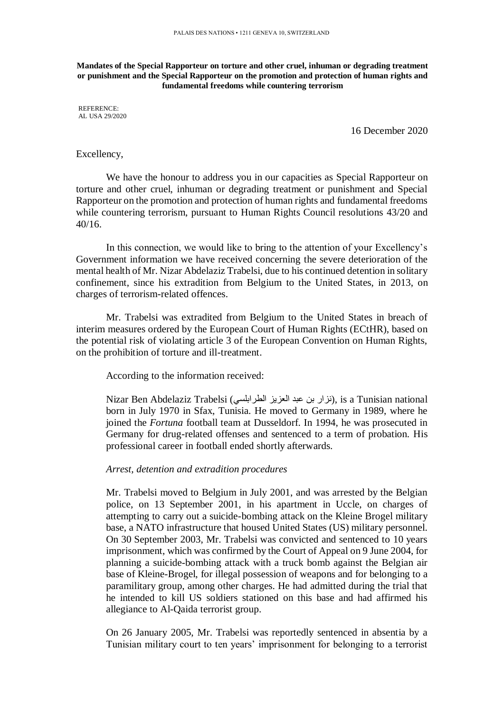**Mandates of the Special Rapporteur on torture and other cruel, inhuman or degrading treatment or punishment and the Special Rapporteur on the promotion and protection of human rights and fundamental freedoms while countering terrorism**

REFERENCE: AL USA 29/2020

16 December 2020

## Excellency,

We have the honour to address you in our capacities as Special Rapporteur on torture and other cruel, inhuman or degrading treatment or punishment and Special Rapporteur on the promotion and protection of human rights and fundamental freedoms while countering terrorism, pursuant to Human Rights Council resolutions 43/20 and 40/16.

In this connection, we would like to bring to the attention of your Excellency's Government information we have received concerning the severe deterioration of the mental health of Mr. Nizar Abdelaziz Trabelsi, due to his continued detention in solitary confinement, since his extradition from Belgium to the United States, in 2013, on charges of terrorism-related offences.

Mr. Trabelsi was extradited from Belgium to the United States in breach of interim measures ordered by the European Court of Human Rights (ECtHR), based on the potential risk of violating article 3 of the European Convention on Human Rights, on the prohibition of torture and ill-treatment.

According to the information received:

Nizar Ben Abdelaziz Trabelsi (الزار بن عبد العزيز الطرابلسي), is a Tunisian national born in July 1970 in Sfax, Tunisia. He moved to Germany in 1989, where he joined the *Fortuna* football team at Dusseldorf. In 1994, he was prosecuted in Germany for drug-related offenses and sentenced to a term of probation. His professional career in football ended shortly afterwards.

## *Arrest, detention and extradition procedures*

Mr. Trabelsi moved to Belgium in July 2001, and was arrested by the Belgian police, on 13 September 2001, in his apartment in Uccle, on charges of attempting to carry out a suicide-bombing attack on the Kleine Brogel military base, a NATO infrastructure that housed United States (US) military personnel. On 30 September 2003, Mr. Trabelsi was convicted and sentenced to 10 years imprisonment, which was confirmed by the Court of Appeal on 9 June 2004, for planning a suicide-bombing attack with a truck bomb against the Belgian air base of Kleine-Brogel, for illegal possession of weapons and for belonging to a paramilitary group, among other charges. He had admitted during the trial that he intended to kill US soldiers stationed on this base and had affirmed his allegiance to Al-Qaida terrorist group.

On 26 January 2005, Mr. Trabelsi was reportedly sentenced in absentia by a Tunisian military court to ten years' imprisonment for belonging to a terrorist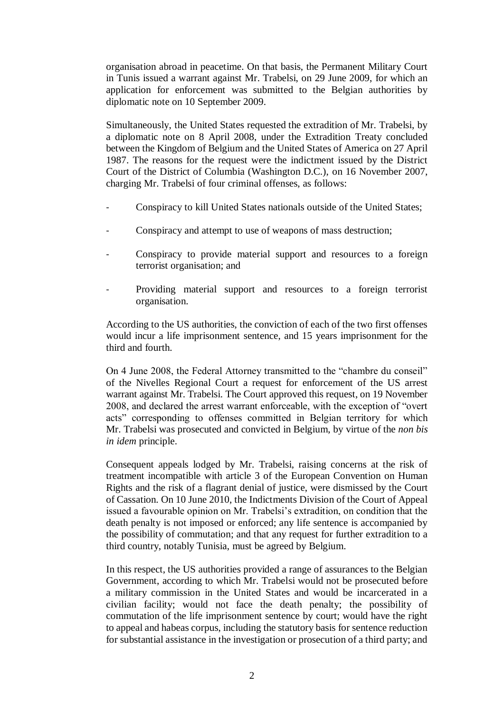organisation abroad in peacetime. On that basis, the Permanent Military Court in Tunis issued a warrant against Mr. Trabelsi, on 29 June 2009, for which an application for enforcement was submitted to the Belgian authorities by diplomatic note on 10 September 2009.

Simultaneously, the United States requested the extradition of Mr. Trabelsi, by a diplomatic note on 8 April 2008, under the Extradition Treaty concluded between the Kingdom of Belgium and the United States of America on 27 April 1987. The reasons for the request were the indictment issued by the District Court of the District of Columbia (Washington D.C.), on 16 November 2007, charging Mr. Trabelsi of four criminal offenses, as follows:

- Conspiracy to kill United States nationals outside of the United States;
- Conspiracy and attempt to use of weapons of mass destruction;
- Conspiracy to provide material support and resources to a foreign terrorist organisation; and
- Providing material support and resources to a foreign terrorist organisation.

According to the US authorities, the conviction of each of the two first offenses would incur a life imprisonment sentence, and 15 years imprisonment for the third and fourth.

On 4 June 2008, the Federal Attorney transmitted to the "chambre du conseil" of the Nivelles Regional Court a request for enforcement of the US arrest warrant against Mr. Trabelsi. The Court approved this request, on 19 November 2008, and declared the arrest warrant enforceable, with the exception of "overt acts" corresponding to offenses committed in Belgian territory for which Mr. Trabelsi was prosecuted and convicted in Belgium, by virtue of the *non bis in idem* principle.

Consequent appeals lodged by Mr. Trabelsi, raising concerns at the risk of treatment incompatible with article 3 of the European Convention on Human Rights and the risk of a flagrant denial of justice, were dismissed by the Court of Cassation. On 10 June 2010, the Indictments Division of the Court of Appeal issued a favourable opinion on Mr. Trabelsi's extradition, on condition that the death penalty is not imposed or enforced; any life sentence is accompanied by the possibility of commutation; and that any request for further extradition to a third country, notably Tunisia, must be agreed by Belgium.

In this respect, the US authorities provided a range of assurances to the Belgian Government, according to which Mr. Trabelsi would not be prosecuted before a military commission in the United States and would be incarcerated in a civilian facility; would not face the death penalty; the possibility of commutation of the life imprisonment sentence by court; would have the right to appeal and habeas corpus, including the statutory basis for sentence reduction for substantial assistance in the investigation or prosecution of a third party; and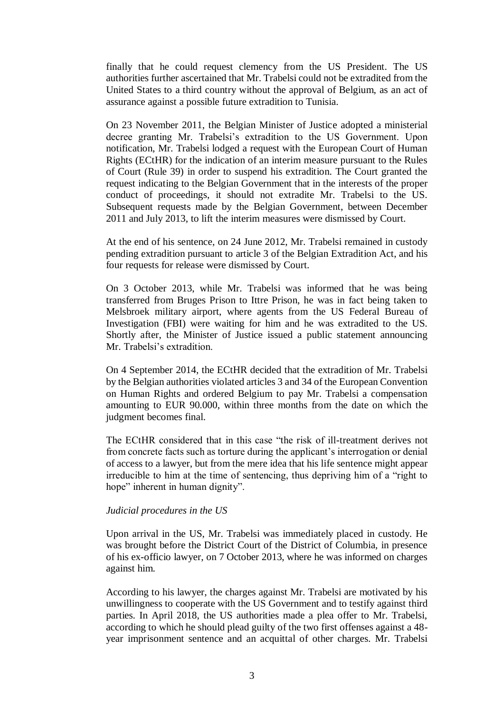finally that he could request clemency from the US President. The US authorities further ascertained that Mr. Trabelsi could not be extradited from the United States to a third country without the approval of Belgium, as an act of assurance against a possible future extradition to Tunisia.

On 23 November 2011, the Belgian Minister of Justice adopted a ministerial decree granting Mr. Trabelsi's extradition to the US Government. Upon notification, Mr. Trabelsi lodged a request with the European Court of Human Rights (ECtHR) for the indication of an interim measure pursuant to the Rules of Court (Rule 39) in order to suspend his extradition. The Court granted the request indicating to the Belgian Government that in the interests of the proper conduct of proceedings, it should not extradite Mr. Trabelsi to the US. Subsequent requests made by the Belgian Government, between December 2011 and July 2013, to lift the interim measures were dismissed by Court.

At the end of his sentence, on 24 June 2012, Mr. Trabelsi remained in custody pending extradition pursuant to article 3 of the Belgian Extradition Act, and his four requests for release were dismissed by Court.

On 3 October 2013, while Mr. Trabelsi was informed that he was being transferred from Bruges Prison to Ittre Prison, he was in fact being taken to Melsbroek military airport, where agents from the US Federal Bureau of Investigation (FBI) were waiting for him and he was extradited to the US. Shortly after, the Minister of Justice issued a public statement announcing Mr. Trabelsi's extradition.

On 4 September 2014, the ECtHR decided that the extradition of Mr. Trabelsi by the Belgian authorities violated articles 3 and 34 of the European Convention on Human Rights and ordered Belgium to pay Mr. Trabelsi a compensation amounting to EUR 90.000, within three months from the date on which the judgment becomes final.

The ECtHR considered that in this case "the risk of ill-treatment derives not from concrete facts such as torture during the applicant's interrogation or denial of access to a lawyer, but from the mere idea that his life sentence might appear irreducible to him at the time of sentencing, thus depriving him of a "right to hope" inherent in human dignity".

## *Judicial procedures in the US*

Upon arrival in the US, Mr. Trabelsi was immediately placed in custody. He was brought before the District Court of the District of Columbia, in presence of his ex-officio lawyer, on 7 October 2013, where he was informed on charges against him.

According to his lawyer, the charges against Mr. Trabelsi are motivated by his unwillingness to cooperate with the US Government and to testify against third parties. In April 2018, the US authorities made a plea offer to Mr. Trabelsi, according to which he should plead guilty of the two first offenses against a 48 year imprisonment sentence and an acquittal of other charges. Mr. Trabelsi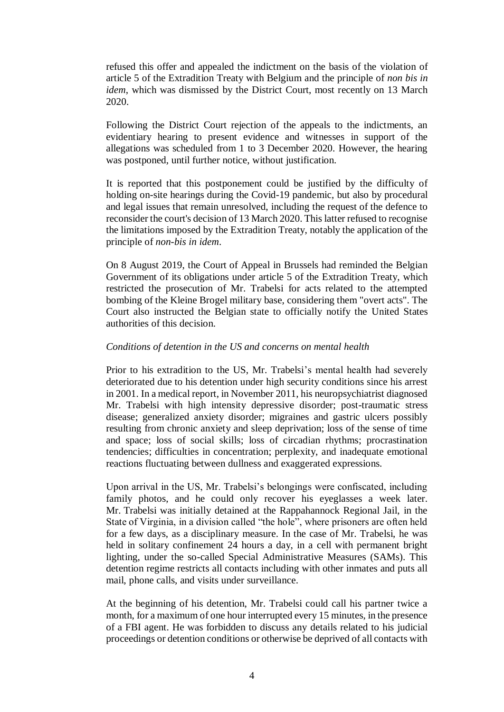refused this offer and appealed the indictment on the basis of the violation of article 5 of the Extradition Treaty with Belgium and the principle of *non bis in idem*, which was dismissed by the District Court, most recently on 13 March 2020.

Following the District Court rejection of the appeals to the indictments, an evidentiary hearing to present evidence and witnesses in support of the allegations was scheduled from 1 to 3 December 2020. However, the hearing was postponed, until further notice, without justification.

It is reported that this postponement could be justified by the difficulty of holding on-site hearings during the Covid-19 pandemic, but also by procedural and legal issues that remain unresolved, including the request of the defence to reconsider the court's decision of 13 March 2020. This latter refused to recognise the limitations imposed by the Extradition Treaty, notably the application of the principle of *non-bis in idem*.

On 8 August 2019, the Court of Appeal in Brussels had reminded the Belgian Government of its obligations under article 5 of the Extradition Treaty, which restricted the prosecution of Mr. Trabelsi for acts related to the attempted bombing of the Kleine Brogel military base, considering them "overt acts". The Court also instructed the Belgian state to officially notify the United States authorities of this decision.

# *Conditions of detention in the US and concerns on mental health*

Prior to his extradition to the US, Mr. Trabelsi's mental health had severely deteriorated due to his detention under high security conditions since his arrest in 2001. In a medical report, in November 2011, his neuropsychiatrist diagnosed Mr. Trabelsi with high intensity depressive disorder; post-traumatic stress disease; generalized anxiety disorder; migraines and gastric ulcers possibly resulting from chronic anxiety and sleep deprivation; loss of the sense of time and space; loss of social skills; loss of circadian rhythms; procrastination tendencies; difficulties in concentration; perplexity, and inadequate emotional reactions fluctuating between dullness and exaggerated expressions.

Upon arrival in the US, Mr. Trabelsi's belongings were confiscated, including family photos, and he could only recover his eyeglasses a week later. Mr. Trabelsi was initially detained at the Rappahannock Regional Jail, in the State of Virginia, in a division called "the hole", where prisoners are often held for a few days, as a disciplinary measure. In the case of Mr. Trabelsi, he was held in solitary confinement 24 hours a day, in a cell with permanent bright lighting, under the so-called Special Administrative Measures (SAMs). This detention regime restricts all contacts including with other inmates and puts all mail, phone calls, and visits under surveillance.

At the beginning of his detention, Mr. Trabelsi could call his partner twice a month, for a maximum of one hour interrupted every 15 minutes, in the presence of a FBI agent. He was forbidden to discuss any details related to his judicial proceedings or detention conditions or otherwise be deprived of all contacts with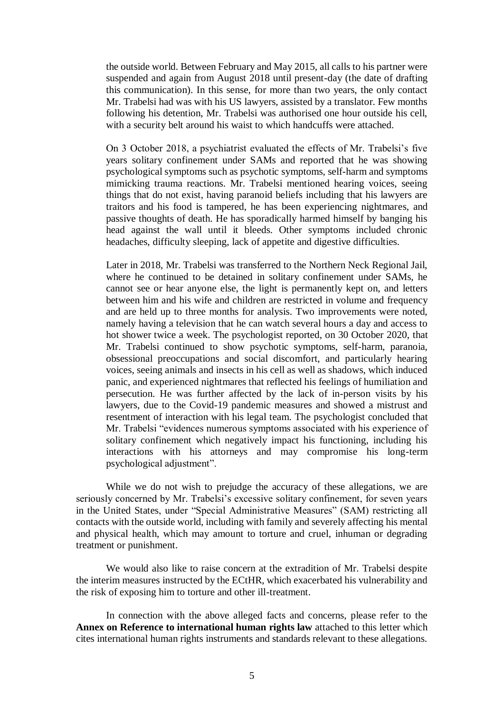the outside world. Between February and May 2015, all calls to his partner were suspended and again from August 2018 until present-day (the date of drafting this communication). In this sense, for more than two years, the only contact Mr. Trabelsi had was with his US lawyers, assisted by a translator. Few months following his detention, Mr. Trabelsi was authorised one hour outside his cell, with a security belt around his waist to which handcuffs were attached.

On 3 October 2018, a psychiatrist evaluated the effects of Mr. Trabelsi's five years solitary confinement under SAMs and reported that he was showing psychological symptoms such as psychotic symptoms, self-harm and symptoms mimicking trauma reactions. Mr. Trabelsi mentioned hearing voices, seeing things that do not exist, having paranoid beliefs including that his lawyers are traitors and his food is tampered, he has been experiencing nightmares, and passive thoughts of death. He has sporadically harmed himself by banging his head against the wall until it bleeds. Other symptoms included chronic headaches, difficulty sleeping, lack of appetite and digestive difficulties.

Later in 2018, Mr. Trabelsi was transferred to the Northern Neck Regional Jail, where he continued to be detained in solitary confinement under SAMs, he cannot see or hear anyone else, the light is permanently kept on, and letters between him and his wife and children are restricted in volume and frequency and are held up to three months for analysis. Two improvements were noted, namely having a television that he can watch several hours a day and access to hot shower twice a week. The psychologist reported, on 30 October 2020, that Mr. Trabelsi continued to show psychotic symptoms, self-harm, paranoia, obsessional preoccupations and social discomfort, and particularly hearing voices, seeing animals and insects in his cell as well as shadows, which induced panic, and experienced nightmares that reflected his feelings of humiliation and persecution. He was further affected by the lack of in-person visits by his lawyers, due to the Covid-19 pandemic measures and showed a mistrust and resentment of interaction with his legal team. The psychologist concluded that Mr. Trabelsi "evidences numerous symptoms associated with his experience of solitary confinement which negatively impact his functioning, including his interactions with his attorneys and may compromise his long-term psychological adjustment".

While we do not wish to prejudge the accuracy of these allegations, we are seriously concerned by Mr. Trabelsi's excessive solitary confinement, for seven years in the United States, under "Special Administrative Measures" (SAM) restricting all contacts with the outside world, including with family and severely affecting his mental and physical health, which may amount to torture and cruel, inhuman or degrading treatment or punishment.

We would also like to raise concern at the extradition of Mr. Trabelsi despite the interim measures instructed by the ECtHR, which exacerbated his vulnerability and the risk of exposing him to torture and other ill-treatment.

In connection with the above alleged facts and concerns, please refer to the **Annex on Reference to international human rights law** attached to this letter which cites international human rights instruments and standards relevant to these allegations.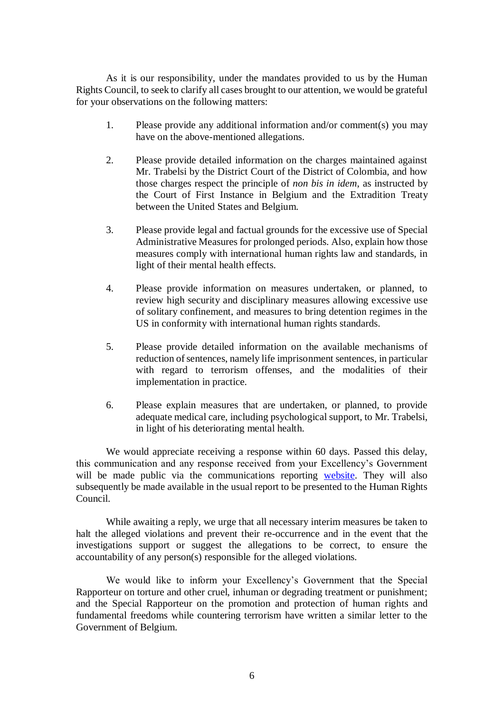As it is our responsibility, under the mandates provided to us by the Human Rights Council, to seek to clarify all cases brought to our attention, we would be grateful for your observations on the following matters:

- 1. Please provide any additional information and/or comment(s) you may have on the above-mentioned allegations.
- 2. Please provide detailed information on the charges maintained against Mr. Trabelsi by the District Court of the District of Colombia, and how those charges respect the principle of *non bis in idem*, as instructed by the Court of First Instance in Belgium and the Extradition Treaty between the United States and Belgium.
- 3. Please provide legal and factual grounds for the excessive use of Special Administrative Measures for prolonged periods. Also, explain how those measures comply with international human rights law and standards, in light of their mental health effects.
- 4. Please provide information on measures undertaken, or planned, to review high security and disciplinary measures allowing excessive use of solitary confinement, and measures to bring detention regimes in the US in conformity with international human rights standards.
- 5. Please provide detailed information on the available mechanisms of reduction of sentences, namely life imprisonment sentences, in particular with regard to terrorism offenses, and the modalities of their implementation in practice.
- 6. Please explain measures that are undertaken, or planned, to provide adequate medical care, including psychological support, to Mr. Trabelsi, in light of his deteriorating mental health.

We would appreciate receiving a response within 60 days. Passed this delay, this communication and any response received from your Excellency's Government will be made public via the communications reporting [website.](https://spcommreports.ohchr.org/) They will also subsequently be made available in the usual report to be presented to the Human Rights Council.

While awaiting a reply, we urge that all necessary interim measures be taken to halt the alleged violations and prevent their re-occurrence and in the event that the investigations support or suggest the allegations to be correct, to ensure the accountability of any person(s) responsible for the alleged violations.

We would like to inform your Excellency's Government that the Special Rapporteur on torture and other cruel, inhuman or degrading treatment or punishment; and the Special Rapporteur on the promotion and protection of human rights and fundamental freedoms while countering terrorism have written a similar letter to the Government of Belgium.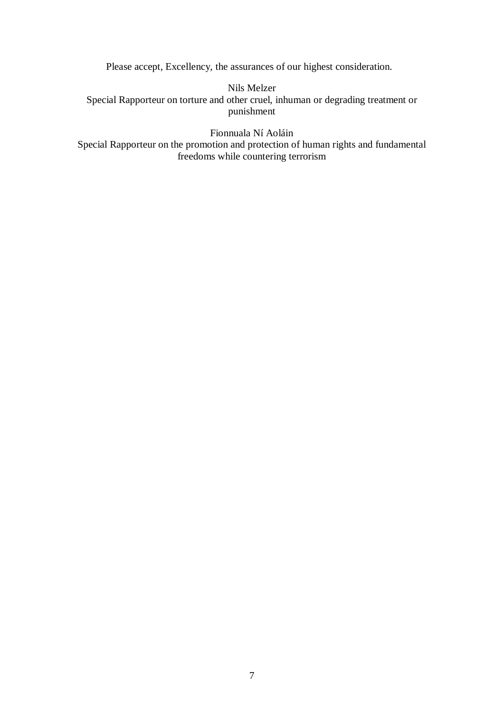Please accept, Excellency, the assurances of our highest consideration.

Nils Melzer Special Rapporteur on torture and other cruel, inhuman or degrading treatment or punishment

Fionnuala Ní Aoláin Special Rapporteur on the promotion and protection of human rights and fundamental freedoms while countering terrorism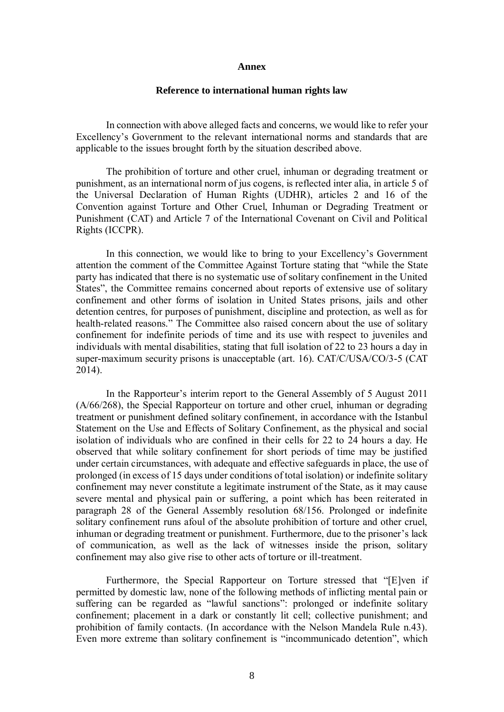#### **Annex**

### **Reference to international human rights law**

In connection with above alleged facts and concerns, we would like to refer your Excellency's Government to the relevant international norms and standards that are applicable to the issues brought forth by the situation described above.

The prohibition of torture and other cruel, inhuman or degrading treatment or punishment, as an international norm of jus cogens, is reflected inter alia, in article 5 of the Universal Declaration of Human Rights (UDHR), articles 2 and 16 of the Convention against Torture and Other Cruel, Inhuman or Degrading Treatment or Punishment (CAT) and Article 7 of the International Covenant on Civil and Political Rights (ICCPR).

In this connection, we would like to bring to your Excellency's Government attention the comment of the Committee Against Torture stating that "while the State party has indicated that there is no systematic use of solitary confinement in the United States", the Committee remains concerned about reports of extensive use of solitary confinement and other forms of isolation in United States prisons, jails and other detention centres, for purposes of punishment, discipline and protection, as well as for health-related reasons." The Committee also raised concern about the use of solitary confinement for indefinite periods of time and its use with respect to juveniles and individuals with mental disabilities, stating that full isolation of 22 to 23 hours a day in super-maximum security prisons is unacceptable (art. 16). CAT/C/USA/CO/3-5 (CAT 2014).

In the Rapporteur's interim report to the General Assembly of 5 August 2011 (A/66/268), the Special Rapporteur on torture and other cruel, inhuman or degrading treatment or punishment defined solitary confinement, in accordance with the Istanbul Statement on the Use and Effects of Solitary Confinement, as the physical and social isolation of individuals who are confined in their cells for 22 to 24 hours a day. He observed that while solitary confinement for short periods of time may be justified under certain circumstances, with adequate and effective safeguards in place, the use of prolonged (in excess of 15 days under conditions of total isolation) or indefinite solitary confinement may never constitute a legitimate instrument of the State, as it may cause severe mental and physical pain or suffering, a point which has been reiterated in paragraph 28 of the General Assembly resolution 68/156. Prolonged or indefinite solitary confinement runs afoul of the absolute prohibition of torture and other cruel, inhuman or degrading treatment or punishment. Furthermore, due to the prisoner's lack of communication, as well as the lack of witnesses inside the prison, solitary confinement may also give rise to other acts of torture or ill-treatment.

Furthermore, the Special Rapporteur on Torture stressed that "[E]ven if permitted by domestic law, none of the following methods of inflicting mental pain or suffering can be regarded as "lawful sanctions": prolonged or indefinite solitary confinement; placement in a dark or constantly lit cell; collective punishment; and prohibition of family contacts. (In accordance with the Nelson Mandela Rule n.43). Even more extreme than solitary confinement is "incommunicado detention", which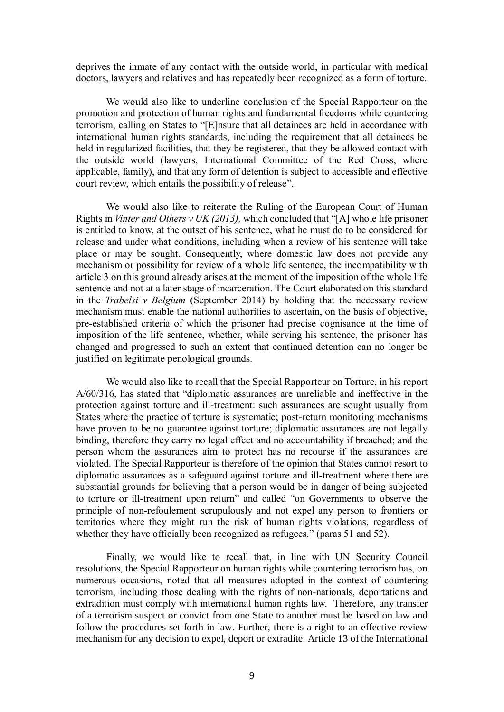deprives the inmate of any contact with the outside world, in particular with medical doctors, lawyers and relatives and has repeatedly been recognized as a form of torture.

We would also like to underline conclusion of the Special Rapporteur on the promotion and protection of human rights and fundamental freedoms while countering terrorism, calling on States to "[E]nsure that all detainees are held in accordance with international human rights standards, including the requirement that all detainees be held in regularized facilities, that they be registered, that they be allowed contact with the outside world (lawyers, International Committee of the Red Cross, where applicable, family), and that any form of detention is subject to accessible and effective court review, which entails the possibility of release".

We would also like to reiterate the Ruling of the European Court of Human Rights in *Vinter and Others v UK (2013),* which concluded that "[A] whole life prisoner is entitled to know, at the outset of his sentence, what he must do to be considered for release and under what conditions, including when a review of his sentence will take place or may be sought. Consequently, where domestic law does not provide any mechanism or possibility for review of a whole life sentence, the incompatibility with article 3 on this ground already arises at the moment of the imposition of the whole life sentence and not at a later stage of incarceration. The Court elaborated on this standard in the *Trabelsi v Belgium* (September 2014) by holding that the necessary review mechanism must enable the national authorities to ascertain, on the basis of objective, pre-established criteria of which the prisoner had precise cognisance at the time of imposition of the life sentence, whether, while serving his sentence, the prisoner has changed and progressed to such an extent that continued detention can no longer be justified on legitimate penological grounds.

We would also like to recall that the Special Rapporteur on Torture, in his report A/60/316, has stated that "diplomatic assurances are unreliable and ineffective in the protection against torture and ill-treatment: such assurances are sought usually from States where the practice of torture is systematic; post-return monitoring mechanisms have proven to be no guarantee against torture; diplomatic assurances are not legally binding, therefore they carry no legal effect and no accountability if breached; and the person whom the assurances aim to protect has no recourse if the assurances are violated. The Special Rapporteur is therefore of the opinion that States cannot resort to diplomatic assurances as a safeguard against torture and ill-treatment where there are substantial grounds for believing that a person would be in danger of being subjected to torture or ill-treatment upon return" and called "on Governments to observe the principle of non-refoulement scrupulously and not expel any person to frontiers or territories where they might run the risk of human rights violations, regardless of whether they have officially been recognized as refugees." (paras 51 and 52).

Finally, we would like to recall that, in line with UN Security Council resolutions, the Special Rapporteur on human rights while countering terrorism has, on numerous occasions, noted that all measures adopted in the context of countering terrorism, including those dealing with the rights of non-nationals, deportations and extradition must comply with international human rights law. Therefore, any transfer of a terrorism suspect or convict from one State to another must be based on law and follow the procedures set forth in law. Further, there is a right to an effective review mechanism for any decision to expel, deport or extradite. Article 13 of the International